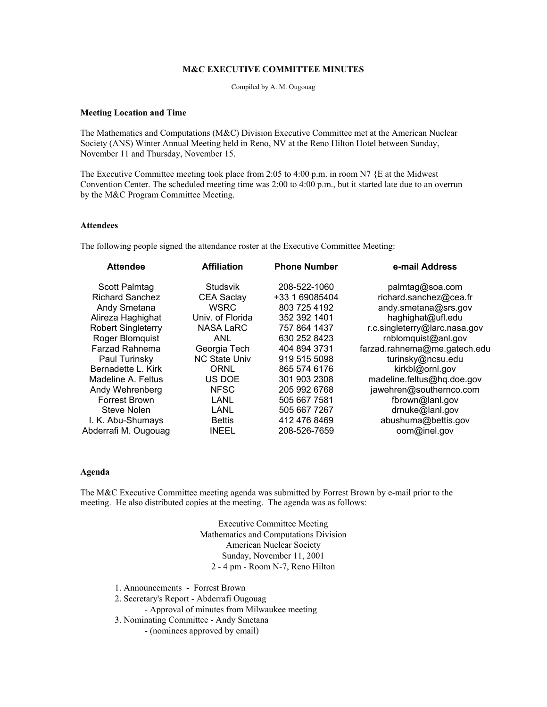# **M&C EXECUTIVE COMMITTEE MINUTES**

Compiled by A. M. Ougouag

#### **Meeting Location and Time**

The Mathematics and Computations (M&C) Division Executive Committee met at the American Nuclear Society (ANS) Winter Annual Meeting held in Reno, NV at the Reno Hilton Hotel between Sunday, November 11 and Thursday, November 15.

The Executive Committee meeting took place from 2:05 to 4:00 p.m. in room N7 {E at the Midwest Convention Center. The scheduled meeting time was 2:00 to 4:00 p.m., but it started late due to an overrun by the M&C Program Committee Meeting.

### **Attendees**

The following people signed the attendance roster at the Executive Committee Meeting:

| <b>Attendee</b>           | <b>Affiliation</b>   | <b>Phone Number</b> | e-mail Address                |  |
|---------------------------|----------------------|---------------------|-------------------------------|--|
| Scott Palmtag             | <b>Studsvik</b>      | 208-522-1060        | palmtag@soa.com               |  |
| <b>Richard Sanchez</b>    | <b>CEA Saclay</b>    | +33 1 69085404      | richard.sanchez@cea.fr        |  |
| Andy Smetana              | <b>WSRC</b>          | 803 725 4192        | andy.smetana@srs.gov          |  |
| Alireza Haghighat         | Univ. of Florida     | 352 392 1401        | haghighat@ufl.edu             |  |
| <b>Robert Singleterry</b> | <b>NASA LaRC</b>     | 757 864 1437        | r.c.singleterry@larc.nasa.gov |  |
| Roger Blomquist           | <b>ANL</b>           | 630 252 8423        | rnblomquist@anl.gov           |  |
| Farzad Rahnema            | Georgia Tech         | 404 894 3731        | farzad.rahnema@me.gatech.edu  |  |
| Paul Turinsky             | <b>NC State Univ</b> | 919 515 5098        | turinsky@ncsu.edu             |  |
| Bernadette L. Kirk        | <b>ORNL</b>          | 865 574 6176        | kirkbl@ornl.gov               |  |
| Madeline A. Feltus        | US DOE               | 301 903 2308        | madeline.feltus@hq.doe.gov    |  |
| Andy Wehrenberg           | <b>NFSC</b>          | 205 992 6768        | jawehren@southernco.com       |  |
| Forrest Brown             | <b>LANL</b>          | 505 667 7581        | fbrown@lanl.gov               |  |
| Steve Nolen               | LANL                 | 505 667 7267        | drnuke@lanl.gov               |  |
| I. K. Abu-Shumays         | <b>Bettis</b>        | 412 476 8469        | abushuma@bettis.gov           |  |
| Abderrafi M. Ougouag      | <b>INEEL</b>         | 208-526-7659        | oom@inel.gov                  |  |
|                           |                      |                     |                               |  |

### **Agenda**

The M&C Executive Committee meeting agenda was submitted by Forrest Brown by e-mail prior to the meeting. He also distributed copies at the meeting. The agenda was as follows:

> Executive Committee Meeting Mathematics and Computations Division American Nuclear Society Sunday, November 11, 2001 2 - 4 pm - Room N-7, Reno Hilton

1. Announcements - Forrest Brown

2. Secretary's Report - Abderrafi Ougouag

- Approval of minutes from Milwaukee meeting
- 3. Nominating Committee Andy Smetana

- (nominees approved by email)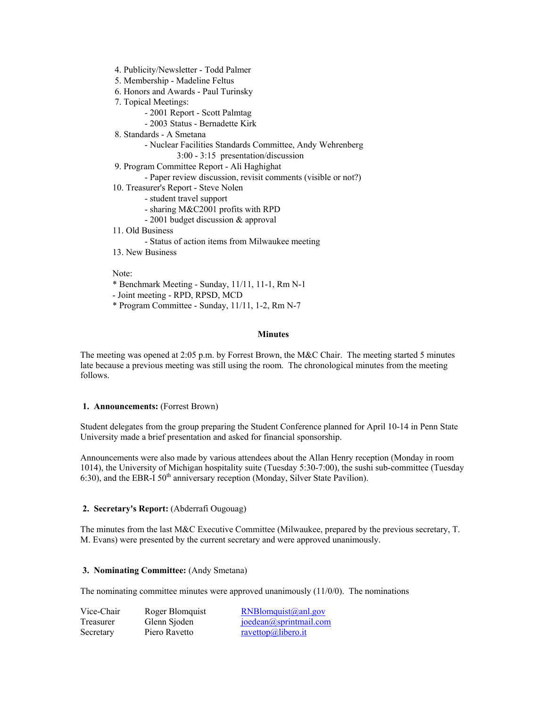- 4. Publicity/Newsletter Todd Palmer
- 5. Membership Madeline Feltus
- 6. Honors and Awards Paul Turinsky
- 7. Topical Meetings:
	- 2001 Report Scott Palmtag
	- 2003 Status Bernadette Kirk
- 8. Standards A Smetana

- Nuclear Facilities Standards Committee, Andy Wehrenberg

3:00 - 3:15 presentation/discussion

- 9. Program Committee Report Ali Haghighat
	- Paper review discussion, revisit comments (visible or not?)
- 10. Treasurer's Report Steve Nolen
	- student travel support
	- sharing M&C2001 profits with RPD
	- 2001 budget discussion & approval
- 11. Old Business
	- Status of action items from Milwaukee meeting
- 13. New Business

Note:

- \* Benchmark Meeting Sunday, 11/11, 11-1, Rm N-1
- Joint meeting RPD, RPSD, MCD
- \* Program Committee Sunday, 11/11, 1-2, Rm N-7

#### **Minutes**

The meeting was opened at 2:05 p.m. by Forrest Brown, the M&C Chair. The meeting started 5 minutes late because a previous meeting was still using the room. The chronological minutes from the meeting follows.

### **1. Announcements:** (Forrest Brown)

Student delegates from the group preparing the Student Conference planned for April 10-14 in Penn State University made a brief presentation and asked for financial sponsorship.

Announcements were also made by various attendees about the Allan Henry reception (Monday in room 1014), the University of Michigan hospitality suite (Tuesday 5:30-7:00), the sushi sub-committee (Tuesday  $6:30$ ), and the EBR-I  $50<sup>th</sup>$  anniversary reception (Monday, Silver State Pavilion).

### **2. Secretary's Report:** (Abderrafi Ougouag)

The minutes from the last M&C Executive Committee (Milwaukee, prepared by the previous secretary, T. M. Evans) were presented by the current secretary and were approved unanimously.

### **3. Nominating Committee:** (Andy Smetana)

The nominating committee minutes were approved unanimously  $(11/0/0)$ . The nominations

| Vice-Chair | Roger Blomquist | $RNBlomquist(\omega$ anl.gov |
|------------|-----------------|------------------------------|
| Treasurer  | Glenn Sjoden    | joedean@sprintmail.com       |
| Secretary  | Piero Ravetto   | $r$ avettop@libero.it        |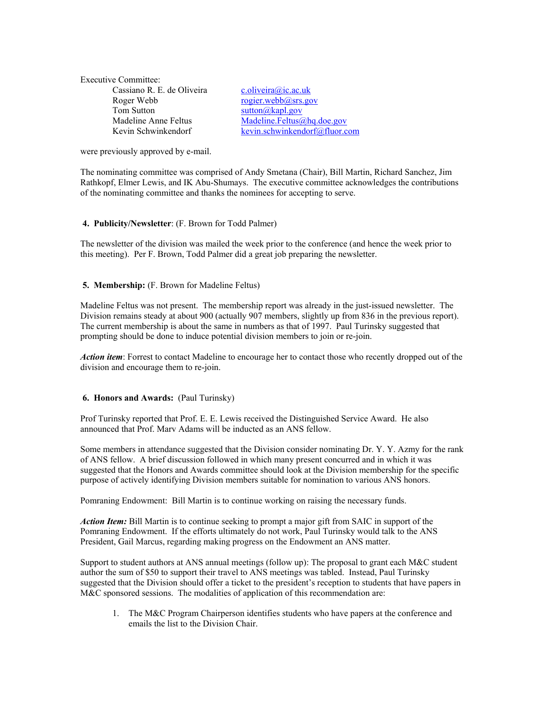| Executive Committee:       |
|----------------------------|
| Cassiano R. E. de Oliveira |
| Roger Webb                 |
| Tom Sutton                 |
| Madeline Anne Feltus       |
| Kevin Schwinkendorf        |

c. oliveira@ic.ac.uk  $rogier.webb@srs.gov$  $s$ utton @kapl.gov  $Madeline. Feltus@ha.doc.gov$ [kevin.schwinkendorf@fluor.com](mailto:kevin.schwinkendorf@fluor.com)

were previously approved by e-mail.

The nominating committee was comprised of Andy Smetana (Chair), Bill Martin, Richard Sanchez, Jim Rathkopf, Elmer Lewis, and IK Abu-Shumays. The executive committee acknowledges the contributions of the nominating committee and thanks the nominees for accepting to serve.

## **4. Publicity/Newsletter**: (F. Brown for Todd Palmer)

The newsletter of the division was mailed the week prior to the conference (and hence the week prior to this meeting). Per F. Brown, Todd Palmer did a great job preparing the newsletter.

### **5. Membership:** (F. Brown for Madeline Feltus)

Madeline Feltus was not present. The membership report was already in the just-issued newsletter. The Division remains steady at about 900 (actually 907 members, slightly up from 836 in the previous report). The current membership is about the same in numbers as that of 1997. Paul Turinsky suggested that prompting should be done to induce potential division members to join or re-join.

*Action item*: Forrest to contact Madeline to encourage her to contact those who recently dropped out of the division and encourage them to re-join.

## **6. Honors and Awards:** (Paul Turinsky)

Prof Turinsky reported that Prof. E. E. Lewis received the Distinguished Service Award. He also announced that Prof. Marv Adams will be inducted as an ANS fellow.

Some members in attendance suggested that the Division consider nominating Dr. Y. Y. Azmy for the rank of ANS fellow. A brief discussion followed in which many present concurred and in which it was suggested that the Honors and Awards committee should look at the Division membership for the specific purpose of actively identifying Division members suitable for nomination to various ANS honors.

Pomraning Endowment: Bill Martin is to continue working on raising the necessary funds.

*Action Item:* Bill Martin is to continue seeking to prompt a major gift from SAIC in support of the Pomraning Endowment. If the efforts ultimately do not work, Paul Turinsky would talk to the ANS President, Gail Marcus, regarding making progress on the Endowment an ANS matter.

Support to student authors at ANS annual meetings (follow up): The proposal to grant each M&C student author the sum of \$50 to support their travel to ANS meetings was tabled. Instead, Paul Turinsky suggested that the Division should offer a ticket to the president's reception to students that have papers in M&C sponsored sessions. The modalities of application of this recommendation are:

1. The M&C Program Chairperson identifies students who have papers at the conference and emails the list to the Division Chair.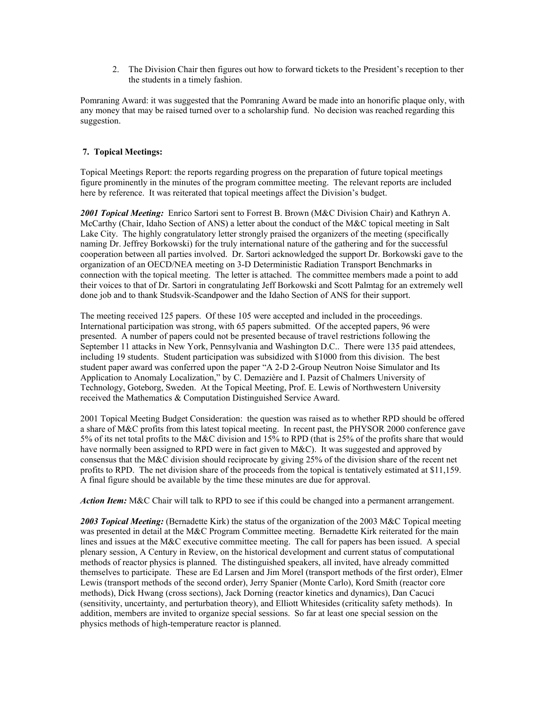2. The Division Chair then figures out how to forward tickets to the President's reception to ther the students in a timely fashion.

Pomraning Award: it was suggested that the Pomraning Award be made into an honorific plaque only, with any money that may be raised turned over to a scholarship fund. No decision was reached regarding this suggestion.

## **7. Topical Meetings:**

Topical Meetings Report: the reports regarding progress on the preparation of future topical meetings figure prominently in the minutes of the program committee meeting. The relevant reports are included here by reference. It was reiterated that topical meetings affect the Division's budget.

*2001 Topical Meeting:* Enrico Sartori sent to Forrest B. Brown (M&C Division Chair) and Kathryn A. McCarthy (Chair, Idaho Section of ANS) a letter about the conduct of the M&C topical meeting in Salt Lake City. The highly congratulatory letter strongly praised the organizers of the meeting (specifically naming Dr. Jeffrey Borkowski) for the truly international nature of the gathering and for the successful cooperation between all parties involved. Dr. Sartori acknowledged the support Dr. Borkowski gave to the organization of an OECD/NEA meeting on 3-D Deterministic Radiation Transport Benchmarks in connection with the topical meeting. The letter is attached. The committee members made a point to add their voices to that of Dr. Sartori in congratulating Jeff Borkowski and Scott Palmtag for an extremely well done job and to thank Studsvik-Scandpower and the Idaho Section of ANS for their support.

The meeting received 125 papers. Of these 105 were accepted and included in the proceedings. International participation was strong, with 65 papers submitted. Of the accepted papers, 96 were presented. A number of papers could not be presented because of travel restrictions following the September 11 attacks in New York, Pennsylvania and Washington D.C.. There were 135 paid attendees, including 19 students. Student participation was subsidized with \$1000 from this division. The best student paper award was conferred upon the paper "A 2-D 2-Group Neutron Noise Simulator and Its Application to Anomaly Localization," by C. Demazière and I. Pazsit of Chalmers University of Technology, Goteborg, Sweden. At the Topical Meeting, Prof. E. Lewis of Northwestern University received the Mathematics & Computation Distinguished Service Award.

2001 Topical Meeting Budget Consideration: the question was raised as to whether RPD should be offered a share of M&C profits from this latest topical meeting. In recent past, the PHYSOR 2000 conference gave 5% of its net total profits to the M&C division and 15% to RPD (that is 25% of the profits share that would have normally been assigned to RPD were in fact given to  $M\&C$ ). It was suggested and approved by consensus that the M&C division should reciprocate by giving 25% of the division share of the recent net profits to RPD. The net division share of the proceeds from the topical is tentatively estimated at \$11,159. A final figure should be available by the time these minutes are due for approval.

Action Item: M&C Chair will talk to RPD to see if this could be changed into a permanent arrangement.

*2003 Topical Meeting:* (Bernadette Kirk) the status of the organization of the 2003 M&C Topical meeting was presented in detail at the M&C Program Committee meeting. Bernadette Kirk reiterated for the main lines and issues at the M&C executive committee meeting. The call for papers has been issued. A special plenary session, A Century in Review, on the historical development and current status of computational methods of reactor physics is planned. The distinguished speakers, all invited, have already committed themselves to participate. These are Ed Larsen and Jim Morel (transport methods of the first order), Elmer Lewis (transport methods of the second order), Jerry Spanier (Monte Carlo), Kord Smith (reactor core methods), Dick Hwang (cross sections), Jack Dorning (reactor kinetics and dynamics), Dan Cacuci (sensitivity, uncertainty, and perturbation theory), and Elliott Whitesides (criticality safety methods). In addition, members are invited to organize special sessions. So far at least one special session on the physics methods of high-temperature reactor is planned.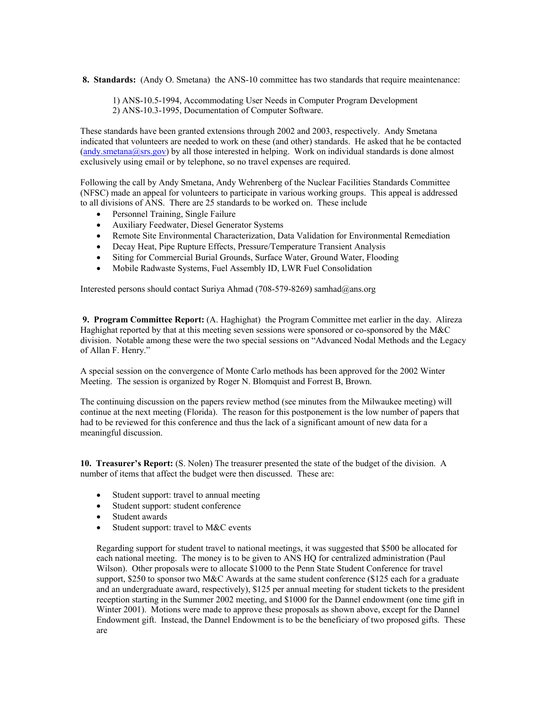**8. Standards:** (Andy O. Smetana) the ANS-10 committee has two standards that require meaintenance:

 1) ANS-10.5-1994, Accommodating User Needs in Computer Program Development 2) ANS-10.3-1995, Documentation of Computer Software.

These standards have been granted extensions through 2002 and 2003, respectively. Andy Smetana indicated that volunteers are needed to work on these (and other) standards. He asked that he be contacted  $(\text{andy.metana}(\text{Qsrs.gov})$  by all those interested in helping. Work on individual standards is done almost exclusively using email or by telephone, so no travel expenses are required.

Following the call by Andy Smetana, Andy Wehrenberg of the Nuclear Facilities Standards Committee (NFSC) made an appeal for volunteers to participate in various working groups. This appeal is addressed to all divisions of ANS. There are 25 standards to be worked on. These include

- Personnel Training, Single Failure
- Auxiliary Feedwater, Diesel Generator Systems
- Remote Site Environmental Characterization, Data Validation for Environmental Remediation
- Decay Heat, Pipe Rupture Effects, Pressure/Temperature Transient Analysis
- Siting for Commercial Burial Grounds, Surface Water, Ground Water, Flooding
- Mobile Radwaste Systems, Fuel Assembly ID, LWR Fuel Consolidation

Interested persons should contact Suriya Ahmad (708-579-8269) samhad@ans.org

 **9. Program Committee Report:** (A. Haghighat) the Program Committee met earlier in the day. Alireza Haghighat reported by that at this meeting seven sessions were sponsored or co-sponsored by the  $M\&C$ division. Notable among these were the two special sessions on "Advanced Nodal Methods and the Legacy of Allan F. Henry."

A special session on the convergence of Monte Carlo methods has been approved for the 2002 Winter Meeting. The session is organized by Roger N. Blomquist and Forrest B, Brown.

The continuing discussion on the papers review method (see minutes from the Milwaukee meeting) will continue at the next meeting (Florida). The reason for this postponement is the low number of papers that had to be reviewed for this conference and thus the lack of a significant amount of new data for a meaningful discussion.

**10. Treasurer's Report:** (S. Nolen) The treasurer presented the state of the budget of the division. A number of items that affect the budget were then discussed. These are:

- Student support: travel to annual meeting
- Student support: student conference
- Student awards
- Student support: travel to M&C events

Regarding support for student travel to national meetings, it was suggested that \$500 be allocated for each national meeting. The money is to be given to ANS HQ for centralized administration (Paul Wilson). Other proposals were to allocate \$1000 to the Penn State Student Conference for travel support, \$250 to sponsor two M&C Awards at the same student conference (\$125 each for a graduate and an undergraduate award, respectively), \$125 per annual meeting for student tickets to the president reception starting in the Summer 2002 meeting, and \$1000 for the Dannel endowment (one time gift in Winter 2001). Motions were made to approve these proposals as shown above, except for the Dannel Endowment gift. Instead, the Dannel Endowment is to be the beneficiary of two proposed gifts. These are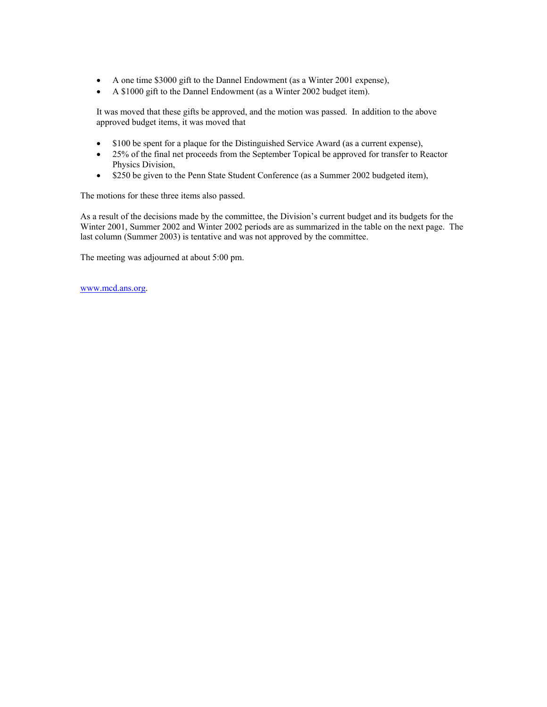- A one time \$3000 gift to the Dannel Endowment (as a Winter 2001 expense),
- A \$1000 gift to the Dannel Endowment (as a Winter 2002 budget item).

It was moved that these gifts be approved, and the motion was passed. In addition to the above approved budget items, it was moved that

- \$100 be spent for a plaque for the Distinguished Service Award (as a current expense),
- 25% of the final net proceeds from the September Topical be approved for transfer to Reactor Physics Division,
- \$250 be given to the Penn State Student Conference (as a Summer 2002 budgeted item),

The motions for these three items also passed.

As a result of the decisions made by the committee, the Division's current budget and its budgets for the Winter 2001, Summer 2002 and Winter 2002 periods are as summarized in the table on the next page. The last column (Summer 2003) is tentative and was not approved by the committee.

The meeting was adjourned at about 5:00 pm.

[www.mcd.ans.org](http://www.mcd.ans.org/).